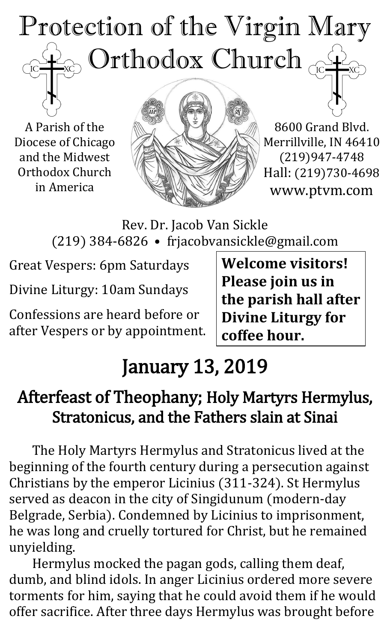# Protection of the Virgin Mary Orthodox Church TC<sub>1</sub>

A Parish of the Diocese of Chicago and the Midwest Orthodox Church in America



8600 Grand Blvd. Merrillville, IN 46410 (219)947-4748 Hall: (219)730-4698 www.ptvm.com

Rev. Dr. Jacob Van Sickle (219) 384-6826 • frjacobvansickle@gmail.com

Great Vespers: 6pm Saturdays

Divine Liturgy: 10am Sundays

Confessions are heard before or after Vespers or by appointment.

**Welcome visitors! Please join us in the parish hall after Divine Liturgy for coffee hour.**

# January 13, 2019

# Afterfeast of Theophany; Holy Martyrs Hermylus, Stratonicus, and the Fathers slain at Sinai

The Holy Martyrs Hermylus and Stratonicus lived at the beginning of the fourth century during a persecution against Christians by the emperor Licinius (311-324). St Hermylus served as deacon in the city of Singidunum (modern-day Belgrade, Serbia). Condemned by Licinius to imprisonment, he was long and cruelly tortured for Christ, but he remained unyielding.

Hermylus mocked the pagan gods, calling them deaf, dumb, and blind idols. In anger Licinius ordered more severe torments for him, saying that he could avoid them if he would offer sacrifice. After three days Hermylus was brought before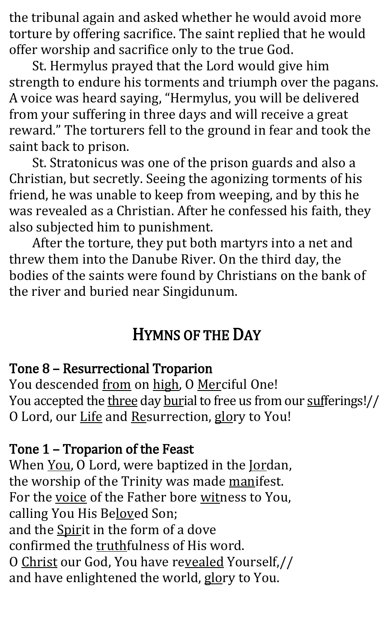the tribunal again and asked whether he would avoid more torture by offering sacrifice. The saint replied that he would offer worship and sacrifice only to the true God.

St. Hermylus prayed that the Lord would give him strength to endure his torments and triumph over the pagans. A voice was heard saying, "Hermylus, you will be delivered from your suffering in three days and will receive a great reward." The torturers fell to the ground in fear and took the saint back to prison.

St. Stratonicus was one of the prison guards and also a Christian, but secretly. Seeing the agonizing torments of his friend, he was unable to keep from weeping, and by this he was revealed as a Christian. After he confessed his faith, they also subjected him to punishment.

After the torture, they put both martyrs into a net and threw them into the Danube River. On the third day, the bodies of the saints were found by Christians on the bank of the river and buried near Singidunum.

# HYMNS OF THE DAY

#### Tone 8 – Resurrectional Troparion

You descended from on high, O Merciful One! You accepted the three day burial to free us from our sufferings!// O Lord, our Life and Resurrection, glory to You!

#### Tone 1 – Troparion of the Feast

When You, O Lord, were baptized in the Jordan, the worship of the Trinity was made manifest. For the voice of the Father bore witness to You, calling You His Beloved Son; and the Spirit in the form of a dove confirmed the truthfulness of His word. O Christ our God, You have revealed Yourself,// and have enlightened the world, glory to You.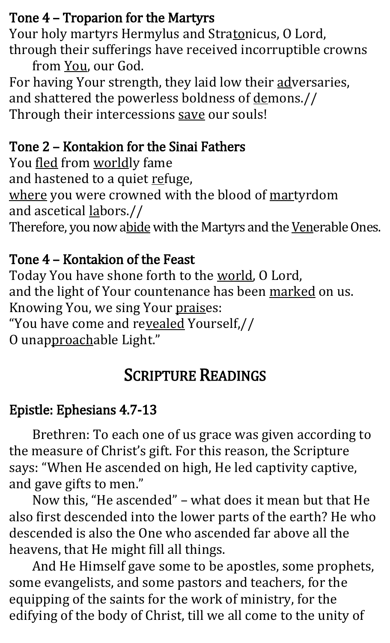## Tone 4 – Troparion for the Martyrs

Your holy martyrs Hermylus and Stratonicus, O Lord,

through their sufferings have received incorruptible crowns from You, our God.

For having Your strength, they laid low their adversaries, and shattered the powerless boldness of demons.// Through their intercessions save our souls!

#### Tone 2 – Kontakion for the Sinai Fathers

You fled from worldly fame and hastened to a quiet refuge, where you were crowned with the blood of martyrdom and ascetical labors.// Therefore, you now abide with the Martyrs and the Venerable Ones.

#### Tone 4 – Kontakion of the Feast

Today You have shone forth to the world, O Lord, and the light of Your countenance has been marked on us. Knowing You, we sing Your praises: "You have come and revealed Yourself,// O unapproachable Light."

# SCRIPTURE READINGS

## Epistle: Ephesians 4.7-13

Brethren: To each one of us grace was given according to the measure of Christ's gift. For this reason, the Scripture says: "When He ascended on high, He led captivity captive, and gave gifts to men."

Now this, "He ascended" – what does it mean but that He also first descended into the lower parts of the earth? He who descended is also the One who ascended far above all the heavens, that He might fill all things.

And He Himself gave some to be apostles, some prophets, some evangelists, and some pastors and teachers, for the equipping of the saints for the work of ministry, for the edifying of the body of Christ, till we all come to the unity of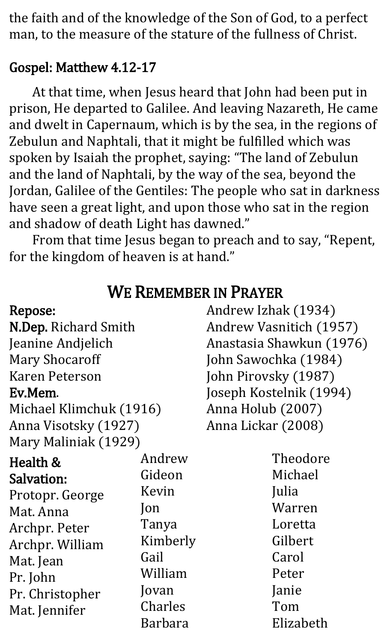the faith and of the knowledge of the Son of God, to a perfect man, to the measure of the stature of the fullness of Christ.

#### Gospel: Matthew 4.12-17

At that time, when Jesus heard that John had been put in prison, He departed to Galilee. And leaving Nazareth, He came and dwelt in Capernaum, which is by the sea, in the regions of Zebulun and Naphtali, that it might be fulfilled which was spoken by Isaiah the prophet, saying: "The land of Zebulun and the land of Naphtali, by the way of the sea, beyond the Jordan, Galilee of the Gentiles: The people who sat in darkness have seen a great light, and upon those who sat in the region and shadow of death Light has dawned."

From that time Jesus began to preach and to say, "Repent, for the kingdom of heaven is at hand."

| Repose:                 |          | Andrew Izhak (1934)      |  |
|-------------------------|----------|--------------------------|--|
| N.Dep. Richard Smith    |          | Andrew Vasnitich (1957)  |  |
| Jeanine Andjelich       |          | Anastasia Shawkun (1976) |  |
| <b>Mary Shocaroff</b>   |          | John Sawochka (1984)     |  |
| <b>Karen Peterson</b>   |          | John Pirovsky (1987)     |  |
| Ev.Mem.                 |          | Joseph Kostelnik (1994)  |  |
| Michael Klimchuk (1916) |          | Anna Holub (2007)        |  |
| Anna Visotsky (1927)    |          | Anna Lickar (2008)       |  |
| Mary Maliniak (1929)    |          |                          |  |
| Health &                | Andrew   | Theodore                 |  |
| <b>Salvation:</b>       | Gideon   | Michael                  |  |
| Protopr. George         | Kevin    | Julia                    |  |
| Mat. Anna               | Jon      | Warren                   |  |
| Archpr. Peter           | Tanya    | Loretta                  |  |
| Archpr. William         | Kimberly | Gilbert                  |  |
| Mat. Jean               | Gail     | Carol                    |  |
| Pr. John                | William  | Peter                    |  |
| Pr. Christopher         | Jovan    | Janie                    |  |
| Mat. Jennifer           | Charles  | Tom                      |  |
|                         | Barbara  | Elizabeth                |  |

# WE REMEMBER IN PRAYER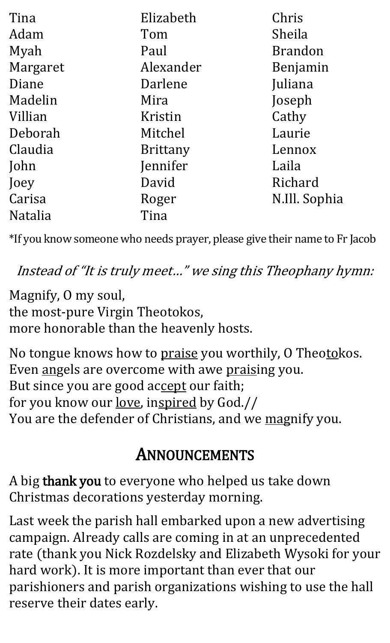| Tina           | Elizabeth       | Chris          |
|----------------|-----------------|----------------|
| Adam           | Tom             | Sheila         |
| Myah           | Paul            | <b>Brandon</b> |
| Margaret       | Alexander       | Benjamin       |
| Diane          | Darlene         | Juliana        |
| Madelin        | Mira            | Joseph         |
| Villian        | Kristin         | Cathy          |
| Deborah        | Mitchel         | Laurie         |
| Claudia        | <b>Brittany</b> | Lennox         |
| John           | Jennifer        | Laila          |
| Joey           | David           | Richard        |
| Carisa         | Roger           | N.Ill. Sophia  |
| <b>Natalia</b> | Tina            |                |

\*If you know someone who needs prayer, please give their name to Fr Jacob

Instead of "It is truly meet…" we sing this Theophany hymn:

Magnify, O my soul, the most-pure Virgin Theotokos, more honorable than the heavenly hosts.

No tongue knows how to praise you worthily, O Theotokos. Even angels are overcome with awe praising you. But since you are good accept our faith; for you know our love, inspired by God.// You are the defender of Christians, and we magnify you.

# ANNOUNCEMENTS

A big thank you to everyone who helped us take down Christmas decorations yesterday morning.

Last week the parish hall embarked upon a new advertising campaign. Already calls are coming in at an unprecedented rate (thank you Nick Rozdelsky and Elizabeth Wysoki for your hard work). It is more important than ever that our parishioners and parish organizations wishing to use the hall reserve their dates early.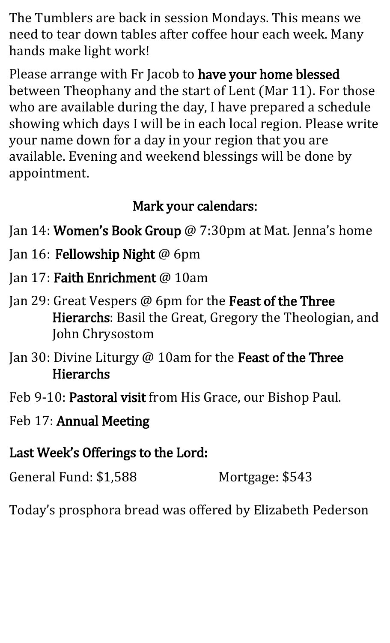The Tumblers are back in session Mondays. This means we need to tear down tables after coffee hour each week. Many hands make light work!

Please arrange with Fr Jacob to have your home blessed between Theophany and the start of Lent (Mar 11). For those who are available during the day, I have prepared a schedule showing which days I will be in each local region. Please write your name down for a day in your region that you are available. Evening and weekend blessings will be done by appointment.

#### Mark your calendars:

- Jan 14: **Women's Book Group** @ 7:30pm at Mat. Jenna's home
- Jan 16: Fellowship Night @ 6pm
- Jan 17: Faith Enrichment @ 10am
- Jan 29: Great Vespers @ 6pm for the Feast of the Three Hierarchs: Basil the Great, Gregory the Theologian, and John Chrysostom
- Jan 30: Divine Liturgy @ 10am for the Feast of the Three Hierarchs
- Feb 9-10: Pastoral visit from His Grace, our Bishop Paul.
- Feb 17: Annual Meeting
- Last Week's Offerings to the Lord:

General Fund: \$1,588 Mortgage: \$543

Today's prosphora bread was offered by Elizabeth Pederson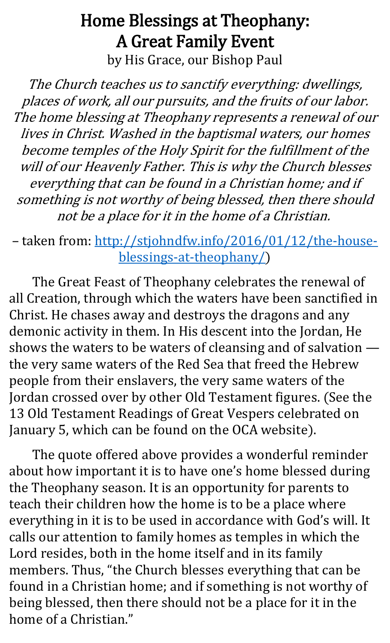## Home Blessings at Theophany: A Great Family Event by His Grace, our Bishop Paul

The Church teaches us to sanctify everything: dwellings, places of work, all our pursuits, and the fruits of our labor. The home blessing at Theophany represents a renewal of our lives in Christ. Washed in the baptismal waters, our homes become temples of the Holy Spirit for the fulfillment of the will of our Heavenly Father. This is why the Church blesses everything that can be found in a Christian home; and if something is not worthy of being blessed, then there should not be a place for it in the home of a Christian.

– taken from: [http://stjohndfw.info/2016/01/12/the-house](http://stjohndfw.info/2016/01/12/the-house-blessings-at-theophany/)[blessings-at-theophany/\)](http://stjohndfw.info/2016/01/12/the-house-blessings-at-theophany/)

The Great Feast of Theophany celebrates the renewal of all Creation, through which the waters have been sanctified in Christ. He chases away and destroys the dragons and any demonic activity in them. In His descent into the Jordan, He shows the waters to be waters of cleansing and of salvation the very same waters of the Red Sea that freed the Hebrew people from their enslavers, the very same waters of the Jordan crossed over by other Old Testament figures. (See the 13 Old Testament Readings of Great Vespers celebrated on January 5, which can be found on the OCA website).

The quote offered above provides a wonderful reminder about how important it is to have one's home blessed during the Theophany season. It is an opportunity for parents to teach their children how the home is to be a place where everything in it is to be used in accordance with God's will. It calls our attention to family homes as temples in which the Lord resides, both in the home itself and in its family members. Thus, "the Church blesses everything that can be found in a Christian home; and if something is not worthy of being blessed, then there should not be a place for it in the home of a Christian."